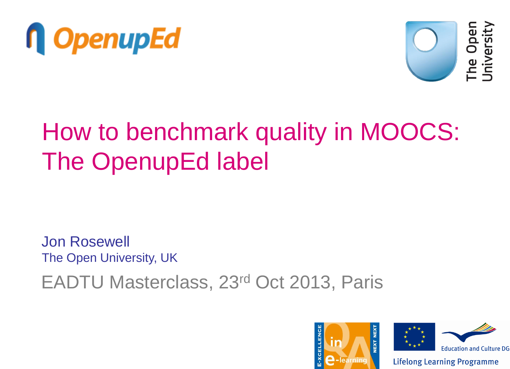



### How to benchmark quality in MOOCS: The OpenupEd label

EADTU Masterclass, 23rd Oct 2013, Paris Jon Rosewell The Open University, UK

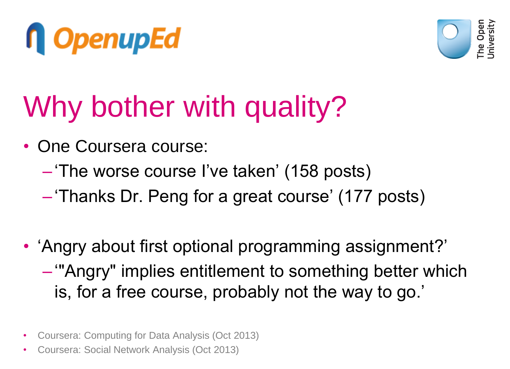



# Why bother with quality?

- One Coursera course:
	- 'The worse course I've taken' (158 posts)
	- 'Thanks Dr. Peng for a great course' (177 posts)
- 'Angry about first optional programming assignment?' – '"Angry" implies entitlement to something better which is, for a free course, probably not the way to go.'
- Coursera: Computing for Data Analysis (Oct 2013)
- Coursera: Social Network Analysis (Oct 2013)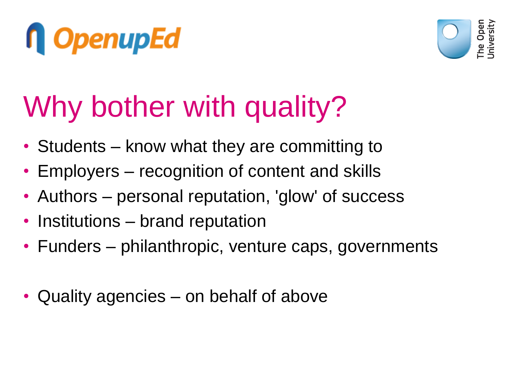



# Why bother with quality?

- Students know what they are committing to
- Employers recognition of content and skills
- Authors personal reputation, 'glow' of success
- Institutions brand reputation
- Funders philanthropic, venture caps, governments
- Quality agencies on behalf of above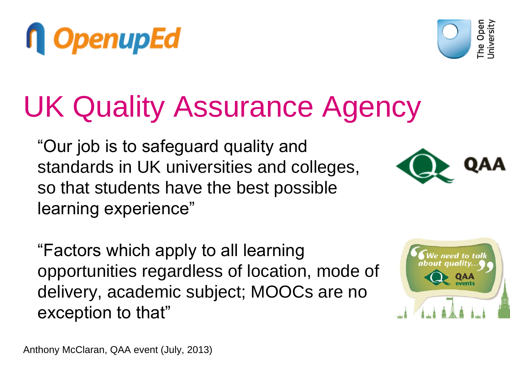"Our job is to safeguard quality and standards in UK universities and colleges, so that students have the best possible learning experience"

"Factors which apply to all learning opportunities regardless of location, mode of delivery, academic subject; MOOCs are no exception to that"

UK Quality Assurance Agency







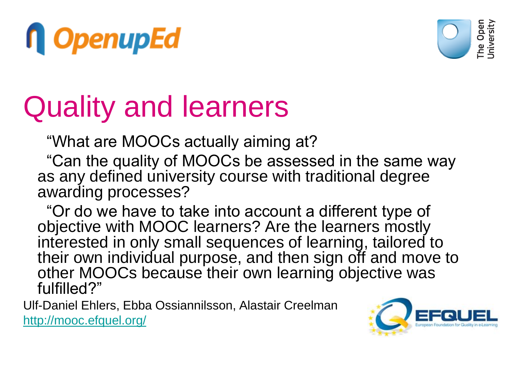



### Quality and learners

"What are MOOCs actually aiming at?

 "Can the quality of MOOCs be assessed in the same way as any defined university course with traditional degree awarding processes?

 "Or do we have to take into account a different type of objective with MOOC learners? Are the learners mostly interested in only small sequences of learning, tailored to their own individual purpose, and then sign off and move to other MOOCs because their own learning objective was fulfilled?"

Ulf-Daniel Ehlers, Ebba Ossiannilsson, Alastair Creelman <http://mooc.efquel.org/>

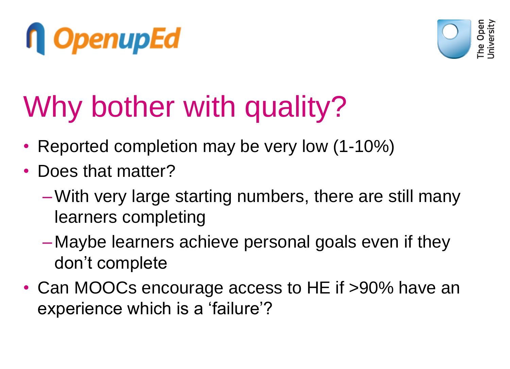



# Why bother with quality?

- Reported completion may be very low (1-10%)
- Does that matter?
	- –With very large starting numbers, there are still many learners completing
	- Maybe learners achieve personal goals even if they don't complete
- Can MOOCs encourage access to HE if >90% have an experience which is a 'failure'?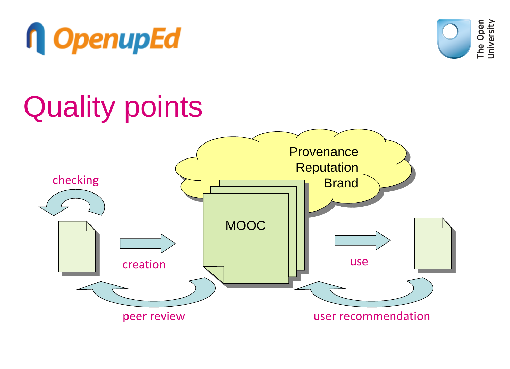



### Quality points

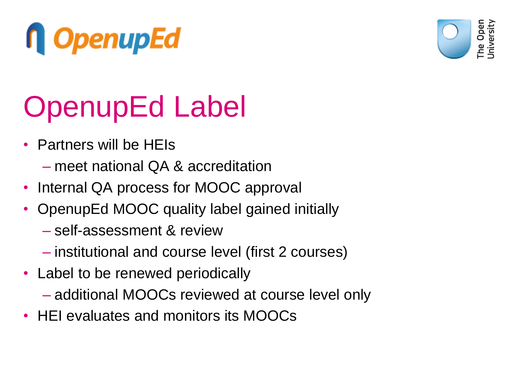



# OpenupEd Label

- Partners will be HEIs
	- meet national QA & accreditation
- Internal QA process for MOOC approval
- OpenupEd MOOC quality label gained initially
	- self-assessment & review
	- institutional and course level (first 2 courses)
- Label to be renewed periodically
	- additional MOOCs reviewed at course level only
- HEI evaluates and monitors its MOOCs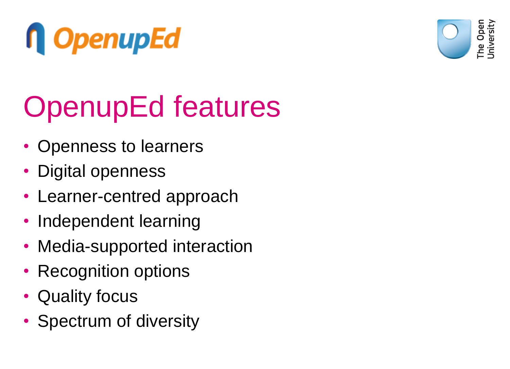



# OpenupEd features

- Openness to learners
- Digital openness
- Learner-centred approach
- Independent learning
- Media-supported interaction
- Recognition options
- Quality focus
- Spectrum of diversity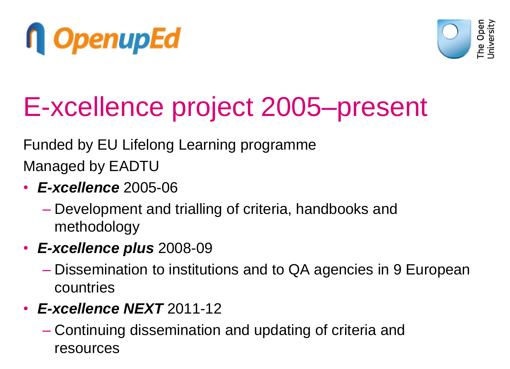



### E-xcellence project 2005–present

Funded by EU Lifelong Learning programme Managed by EADTU

- *E-xcellence* 2005-06
	- Development and trialling of criteria, handbooks and methodology
- *E-xcellence plus* 2008-09
	- Dissemination to institutions and to QA agencies in 9 European countries
- *E-xcellence NEXT* 2011-12
	- Continuing dissemination and updating of criteria and resources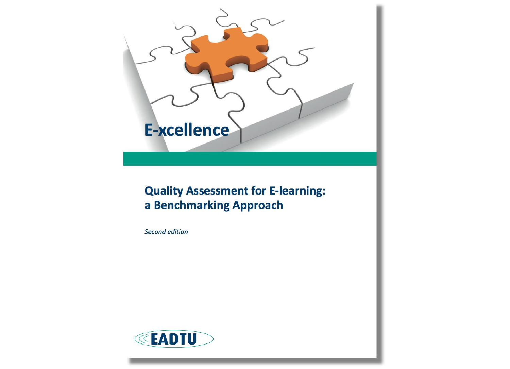

#### **Quality Assessment for E-learning:** a Benchmarking Approach

**Second edition** 

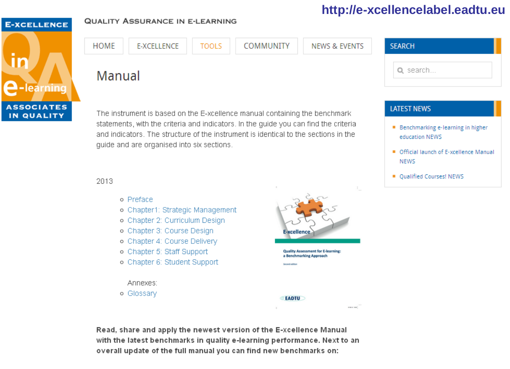#### http://e-xcellencelabel.eadtu.eu

#### **E-XCELLENCE**



#### **QUALITY ASSURANCE IN E-LEARNING**

| Q search<br>Manual | HOME | E-XCELLENCE | <b>TOOLS</b> | COMMUNITY | NEWS & EVENTS | <b>SEARCH</b> |
|--------------------|------|-------------|--------------|-----------|---------------|---------------|
|                    |      |             |              |           |               |               |

**LATEST NEWS** 

- **Benchmarking e-learning in higher** education NEWS
- Official launch of E-xcellence Manual **NFWS**
- **Qualified Courses! NEWS**

2013

- o Preface
- o Chapter1: Strategic Management
- o Chapter 2: Curriculum Design
- o Chapter 3: Course Design

quide and are organised into six sections.

- o Chapter 4: Course Delivery
- o Chapter 5: Staff Support
- o Chapter 6: Student Support

#### Annexes:

o Glossarv



**Quality Assessment for E-learning:** a Benchmarking Approach

**Second edition** 

#### **EADTU**

Read, share and apply the newest version of the E-xcellence Manual with the latest benchmarks in quality e-learning performance. Next to an overall update of the full manual you can find new benchmarks on:

The instrument is based on the E-xcellence manual containing the benchmark

statements, with the criteria and indicators. In the guide you can find the criteria

and indicators. The structure of the instrument is identical to the sections in the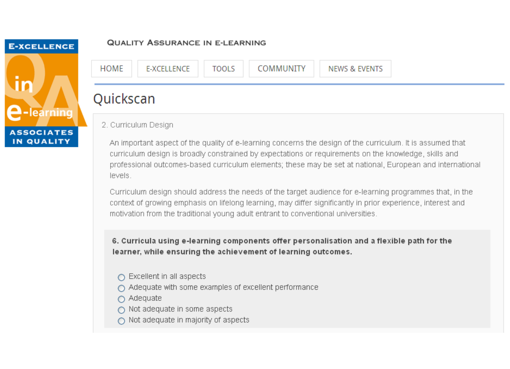### **E-XCELLENCE**  $\mathbf{u}$ learning **ASSOCIATES** IN QUALITY

#### **QUALITY ASSURANCE IN E-LEARNING**



2. Curriculum Design

An important aspect of the quality of e-learning concerns the design of the curriculum. It is assumed that curriculum design is broadly constrained by expectations or requirements on the knowledge, skills and professional outcomes-based curriculum elements; these may be set at national, European and international levels.

Curriculum design should address the needs of the target audience for e-learning programmes that, in the context of growing emphasis on lifelong learning, may differ significantly in prior experience, interest and motivation from the traditional young adult entrant to conventional universities.

6. Curricula using e-learning components offer personalisation and a flexible path for the learner, while ensuring the achievement of learning outcomes.

- $\bigcap$  Excellent in all aspects
- $\bigcirc$  Adequate with some examples of excellent performance
- $\bigcap$  Adequate
- $\bigcap$  Not adequate in some aspects
- $\bigcap$  Not adequate in majority of aspects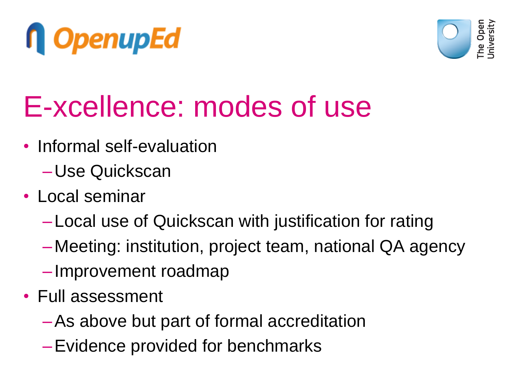



### E-xcellence: modes of use

- Informal self-evaluation
	- Use Quickscan
- Local seminar
	- Local use of Quickscan with justification for rating
	- Meeting: institution, project team, national QA agency
	- Improvement roadmap
- Full assessment
	- –As above but part of formal accreditation
	- –Evidence provided for benchmarks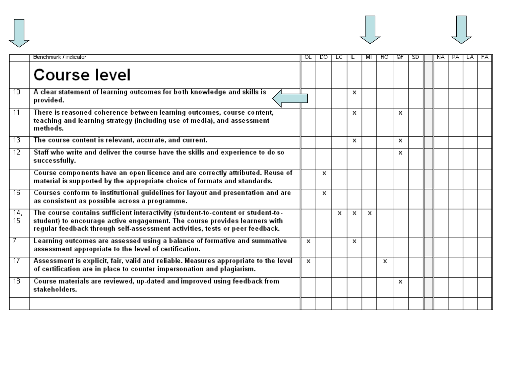



|                       | Benchmark / indicator                                                                                                                                                                                                                         |   | DO. |   |   |   | RO. | ্ক | -SD. | NA. | PA. | LA. | FA. |
|-----------------------|-----------------------------------------------------------------------------------------------------------------------------------------------------------------------------------------------------------------------------------------------|---|-----|---|---|---|-----|----|------|-----|-----|-----|-----|
|                       | <b>Course level</b>                                                                                                                                                                                                                           |   |     |   |   |   |     |    |      |     |     |     |     |
| 10                    | A clear statement of learning outcomes for both knowledge and skills is<br>provided.                                                                                                                                                          |   |     |   | х |   |     |    |      |     |     |     |     |
| $\overline{11}$       | There is reasoned coherence between learning outcomes, course content,<br>teaching and learning strategy (including use of media), and assessment<br>methods.                                                                                 |   |     |   | х |   |     | х  |      |     |     |     |     |
| 13                    | The course content is relevant, accurate, and current.                                                                                                                                                                                        |   |     |   | х |   |     | х  |      |     |     |     |     |
| $\overline{12}$       | Staff who write and deliver the course have the skills and experience to do so<br>successfully.                                                                                                                                               |   |     |   |   |   |     | x  |      |     |     |     |     |
|                       | Course components have an open licence and are correctly attributed. Reuse of<br>material is supported by the appropriate choice of formats and standards.                                                                                    |   | x   |   |   |   |     |    |      |     |     |     |     |
| $\overline{16}$       | Courses conform to institutional guidelines for layout and presentation and are<br>as consistent as possible across a programme.                                                                                                              |   | x   |   |   |   |     |    |      |     |     |     |     |
| 14 <sub>1</sub><br>15 | The course contains sufficient interactivity (student-to-content or student-to-<br>student) to encourage active engagement. The course provides learners with<br>regular feedback through self-assessment activities, tests or peer feedback. |   |     | x | x | x |     |    |      |     |     |     |     |
| -7                    | Learning outcomes are assessed using a balance of formative and summative<br>assessment appropriate to the level of certification.                                                                                                            | x |     |   | x |   |     |    |      |     |     |     |     |
| -17                   | Assessment is explicit, fair, valid and reliable. Measures appropriate to the level<br>of certification are in place to counter impersonation and plagiarism.                                                                                 | х |     |   |   |   | х   |    |      |     |     |     |     |
| $\overline{18}$       | Course materials are reviewed, up-dated and improved using feedback from<br>stakeholders.                                                                                                                                                     |   |     |   |   |   |     | x  |      |     |     |     |     |
|                       |                                                                                                                                                                                                                                               |   |     |   |   |   |     |    |      |     |     |     |     |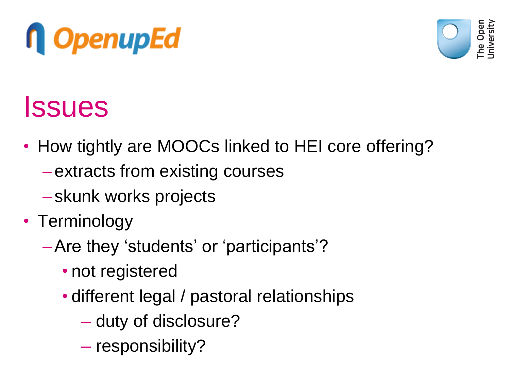



### **Issues**

- How tightly are MOOCs linked to HEI core offering?
	- extracts from existing courses
	- skunk works projects
- Terminology
	- –Are they 'students' or 'participants'?
		- not registered
		- different legal / pastoral relationships
			- duty of disclosure?
			- responsibility?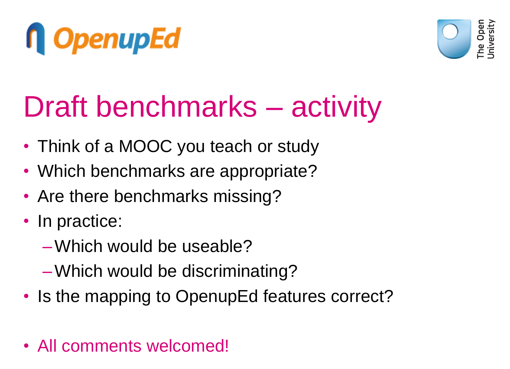



### Draft benchmarks – activity

- Think of a MOOC you teach or study
- Which benchmarks are appropriate?
- Are there benchmarks missing?
- In practice:
	- –Which would be useable?
	- –Which would be discriminating?
- Is the mapping to OpenupEd features correct?
- All comments welcomed!